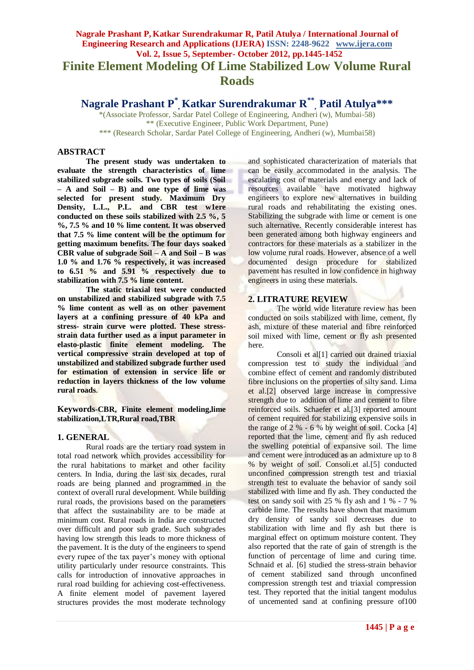# **Nagrale Prashant P, Katkar Surendrakumar R, Patil Atulya / International Journal of Engineering Research and Applications (IJERA) ISSN: 2248-9622 www.ijera.com Vol. 2, Issue 5, September- October 2012, pp.1445-1452 Finite Element Modeling Of Lime Stabilized Low Volume Rural Roads**

**Nagrale Prashant P\* , Katkar Surendrakumar R\*\* , Patil Atulya\*\*\***

\*(Associate Professor, Sardar Patel College of Engineering, Andheri (w), Mumbai-58) \*\* (Executive Engineer, Public Work Department, Pune) \*\*\* (Research Scholar, Sardar Patel College of Engineering, Andheri (w), Mumbai58)

# **ABSTRACT**

**The present study was undertaken to evaluate the strength characteristics of lime stabilized subgrade soils. Two types of soils (Soil – A and Soil – B) and one type of lime was selected for present study. Maximum Dry Density, L.L., P.L. and CBR test w1ere conducted on these soils stabilized with 2.5 %, 5 %, 7.5 % and 10 % lime content. It was observed that 7.5 % lime content will be the optimum for getting maximum benefits. The four days soaked CBR value of subgrade Soil – A and Soil – B was 1.0 % and 1.76 % respectively, it was increased to 6.51 % and 5.91 % respectively due to stabilization with 7.5 % lime content.**

**The static triaxial test were conducted on unstabilized and stabilized subgrade with 7.5 % lime content as well as on other pavement layers at a confining pressure of 40 kPa and stress- strain curve were plotted. These stressstrain data further used as a input parameter in elasto-plastic finite element modeling. The vertical compressive strain developed at top of unstabilized and stabilized subgrade further used for estimation of extension in service life or reduction in layers thickness of the low volume rural roads**.

**Keywords**-**CBR, Finite element modeling,lime stabilization,LTR,Rural road,TBR**

# **1. GENERAL**

Rural roads are the tertiary road system in total road network which provides accessibility for the rural habitations to market and other facility centers. In India, during the last six decades, rural roads are being planned and programmed in the context of overall rural development. While building rural roads, the provisions based on the parameters that affect the sustainability are to be made at minimum cost. Rural roads in India are constructed over difficult and poor sub grade. Such subgrades having low strength this leads to more thickness of the pavement. It is the duty of the engineers to spend every rupee of the tax payer's money with optional utility particularly under resource constraints. This calls for introduction of innovative approaches in rural road building for achieving cost-effectiveness. A finite element model of pavement layered structures provides the most moderate technology and sophisticated characterization of materials that can be easily accommodated in the analysis. The escalating cost of materials and energy and lack of resources available have motivated highway engineers to explore new alternatives in building rural roads and rehabilitating the existing ones. Stabilizing the subgrade with lime or cement is one such alternative. Recently considerable interest has been generated among both highway engineers and contractors for these materials as a stabilizer in the low volume rural roads. However, absence of a well documented design procedure for stabilized pavement has resulted in low confidence in highway engineers in using these materials.

# **2. LITRATURE REVIEW**

The world wide literature review has been conducted on soils stabilized with lime, cement, fly ash, mixture of these material and fibre reinforced soil mixed with lime, cement or fly ash presented here.

Consoli et al<sup>[1]</sup> carried out drained triaxial compression test to study the individual and combine effect of cement and randomly distributed fibre inclusions on the properties of silty sand. Lima et al.[2] observed large increase in compressive strength due to addition of lime and cement to fibre reinforced soils. Schaefer et al.[3] reported amount of cement required for stabilizing expensive soils in the range of 2  $%$  - 6  $%$  by weight of soil. Cocka [4] reported that the lime, cement and fly ash reduced the swelling potential of expansive soil. The lime and cement were introduced as an admixture up to 8 % by weight of soil. Consoli.et al.[5] conducted unconfined compression strength test and triaxial strength test to evaluate the behavior of sandy soil stabilized with lime and fly ash. They conducted the test on sandy soil with 25 % fly ash and 1 % - 7 % carbide lime. The results have shown that maximum dry density of sandy soil decreases due to stabilization with lime and fly ash but there is marginal effect on optimum moisture content. They also reported that the rate of gain of strength is the function of percentage of lime and curing time. Schnaid et al. [6] studied the stress-strain behavior of cement stabilized sand through unconfined compression strength test and triaxial compression test. They reported that the initial tangent modulus of uncemented sand at confining pressure of100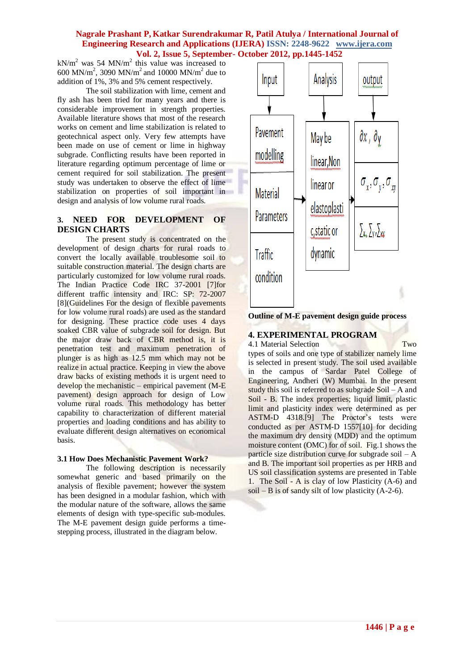$kN/m^2$  was 54 MN/m<sup>2</sup> this value was increased to 600 MN/m<sup>2</sup>, 3090 MN/m<sup>2</sup> and 10000 MN/m<sup>2</sup> due to addition of 1%, 3% and 5% cement respectively.

The soil stabilization with lime, cement and fly ash has been tried for many years and there is considerable improvement in strength properties. Available literature shows that most of the research works on cement and lime stabilization is related to geotechnical aspect only. Very few attempts have been made on use of cement or lime in highway subgrade. Conflicting results have been reported in literature regarding optimum percentage of lime or cement required for soil stabilization. The present study was undertaken to observe the effect of lime stabilization on properties of soil important in design and analysis of low volume rural roads.

# **3. NEED FOR DEVELOPMENT OF DESIGN CHARTS**

The present study is concentrated on the development of design charts for rural roads to convert the locally available troublesome soil to suitable construction material. The design charts are particularly customized for low volume rural roads. The Indian Practice Code IRC 37-2001 [7]for different traffic intensity and IRC: SP: 72-2007 [8](Guidelines For the design of flexible pavements for low volume rural roads) are used as the standard for designing. These practice code uses 4 days soaked CBR value of subgrade soil for design. But the major draw back of CBR method is, it is penetration test and maximum penetration of plunger is as high as 12.5 mm which may not be realize in actual practice. Keeping in view the above draw backs of existing methods it is urgent need to develop the mechanistic – empirical pavement (M-E pavement) design approach for design of Low volume rural roads. This methodology has better capability to characterization of different material properties and loading conditions and has ability to evaluate different design alternatives on economical basis.

#### **3.1 How Does Mechanistic Pavement Work?**

The following description is necessarily somewhat generic and based primarily on the analysis of flexible pavement; however the system has been designed in a modular fashion, which with the modular nature of the software, allows the same elements of design with type-specific sub-modules. The M-E pavement design guide performs a timestepping process, illustrated in the diagram below.



**Outline of M-E pavement design guide process**

# **4. EXPERIMENTAL PROGRAM**

4.1 Material Selection Two

types of soils and one type of stabilizer namely lime is selected in present study. The soil used available in the campus of Sardar Patel College of Engineering, Andheri (W) Mumbai. In the present study this soil is referred to as subgrade Soil – A and Soil - B. The index properties; liquid limit, plastic limit and plasticity index were determined as per ASTM-D 4318.[9] The Proctor's tests were conducted as per ASTM-D 1557[10] for deciding the maximum dry density (MDD) and the optimum moisture content (OMC) for of soil. Fig.1 shows the particle size distribution curve for subgrade soil – A and B. The important soil properties as per HRB and US soil classification systems are presented in Table 1. The Soil - A is clay of low Plasticity (A-6) and soil – B is of sandy silt of low plasticity  $(A-2-6)$ .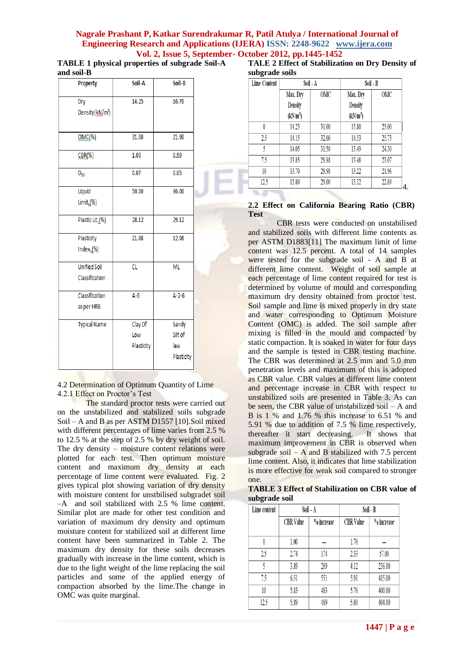**TABLE 1 physical properties of subgrade Soil-A and soil-B**

| Property                              | Soil-A                       | Soil-B                                |  |
|---------------------------------------|------------------------------|---------------------------------------|--|
| Dry<br>Density(kN/m <sup>3</sup> )    | 14.25                        | 16.70                                 |  |
| $OMC(*)$                              | 31.00                        | 21.90                                 |  |
| $CBR(\%)$                             | 1.00                         | 0.90                                  |  |
| $D_{50}$                              | 0.07                         | 0.05                                  |  |
| Liquid<br>Limit $\mathcal{N}(k)$      | 50.00                        | 36.00                                 |  |
| Plastic Lit <sub>(1,</sub> %)         | 28.12                        | 29.12                                 |  |
| Plasticity<br>Index $_{l}(\%)$        | 21.88                        | 12.08                                 |  |
| <b>Unified Soil</b><br>Classification | $\overline{\text{cl}}$       | <b>ML</b>                             |  |
| Classification<br>as per HRB          | $A-6$                        | $A - 2 - 6$                           |  |
| <b>Typical Name</b>                   | Clay Of<br>Low<br>Plasticity | Sandy<br>Silt of<br>law<br>Plasticity |  |

4.2 Determination of Optimum Quantity of Lime 4.2.1 Effect on Proctor's Test

The standard proctor tests were carried out on the unstabilized and stabilized soils subgrade Soil – A and B as per ASTM D1557 [10].Soil mixed with different percentages of lime varies from 2.5 % to 12.5 % at the step of 2.5 % by dry weight of soil. The dry density – moisture content relations were plotted for each test. Then optimum moisture content and maximum dry density at each percentage of lime content were evaluated. Fig. 2 gives typical plot showing variation of dry density with moisture content for unstbilised subgradet soil –A and soil stabilized with 2.5 % lime content. Similar plot are made for other test condition and variation of maximum dry density and optimum moisture content for stabilized soil at different lime content have been summarized in Table 2. The maximum dry density for these soils decreases gradually with increase in the lime content, which is due to the light weight of the lime replacing the soil particles and some of the applied energy of compaction absorbed by the lime.The change in OMC was quite marginal.

|                | TALE 2 Effect of Stabilization on Dry Density of |  |  |
|----------------|--------------------------------------------------|--|--|
| subgrade soils |                                                  |  |  |

| <b>Lime Content</b> | Soil - A            |       | Soil - B            |       |
|---------------------|---------------------|-------|---------------------|-------|
|                     | Max. Dry            | OMC   | Max. Dry            | OMC   |
|                     | Density             |       | Density             |       |
|                     | (kNm <sup>3</sup> ) |       | (kNm <sup>3</sup> ) |       |
| 0                   | 14.25               | 31.00 | 15.80               | 25.00 |
| 2.5                 | 14.15               | 32.00 | 14.53               | 25.73 |
| 5                   | 14.05               | 31.50 | 13.49               | 24.30 |
| 7.5                 | 13.85               | 29.88 | 13.48               | 23.07 |
| 10                  | 13.70               | 29.98 | 13.22               | 21.96 |
| 12.5                | 13.80               | 29.00 | 13.32               | 22.89 |

#### **2.2 Effect on California Bearing Ratio (CBR) Test**

CBR tests were conducted on unstabilised and stabilized soils with different lime contents as per ASTM D1883[11] The maximum limit of lime content was 12.5 percent. A total of 14 samples were tested for the subgrade soil - A and B at different lime content. Weight of soil sample at each percentage of lime content required for test is determined by volume of mould and corresponding maximum dry density obtained from proctor test. Soil sample and lime is mixed properly in dry state and water corresponding to Optimum Moisture Content (OMC) is added. The soil sample after mixing is filled in the mould and compacted by static compaction. It is soaked in water for four days and the sample is tested in CBR testing machine. The CBR was determined at 2.5 mm and 5.0 mm penetration levels and maximum of this is adopted as CBR value. CBR values at different lime content and percentage increase in CBR with respect to unstabilized soils are presented in Table 3. As can be seen, the CBR value of unstabilized soil – A and B is 1 % and 1.76 % this increase to 6.51 % and 5.91 % due to addition of 7.5 % lime respectively, thereafter it start decreasing. It shows that maximum improvement in CBR is observed when subgrade soil – A and B stabilized with 7.5 percent lime content. Also, it indicates that lime stabilization is more effective for weak soil compared to stronger one.

**TABLE 3 Effect of Stabilization on CBR value of subgrade soil** 

| Lime content | Soil-A           |            | Soil - B  |            |  |
|--------------|------------------|------------|-----------|------------|--|
|              | <b>CBR</b> Value | % increase | CBR Value | % increase |  |
| 0            | 1.00             | ---        | 1.76      | ---        |  |
| 25           | 2.74             | 174        | 2.33      | 57.00      |  |
| 5            | 3.89             | 289        | 4.12      | 236.00     |  |
| 75           | 6.51             | 551        | 5.91      | 415.00     |  |
| 10           | 5.83             | 483        | 5.76      | 400.00     |  |
| 12.5         | 5.89             | 489        | 5.80      | 404.00     |  |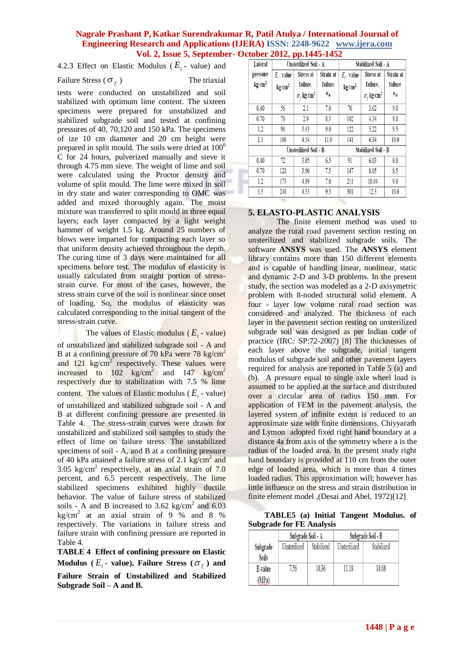4.2.3 Effect on Elastic Modulus ( $E_i$  - value) and

# Failure Stress ( $\sigma_f$

) The triaxial

tests were conducted on unstabilized and soil stabilized with optimum lime content. The sixteen specimens were prepared for unstabilized and stabilized subgrade soil and tested at confining pressures of 40, 70,120 and 150 kPa. The specimens of ize 10 cm diameter and 20 cm height were prepared in split mould. The soils were dried at  $100<sup>0</sup>$ C for 24 hours, pulverized manually and sieve it through 4.75 mm sieve. The weight of lime and soil were calculated using the Proctor density and volume of split mould. The lime were mixed in soil in dry state and water corresponding to OMC was added and mixed thoroughly again. The moist mixture was transferred to split mould in three equal layers; each layer compacted by a light weight hammer of weight 1.5 kg. Around 25 numbers of blows were imparted for compacting each layer so that uniform density achieved throughout the depth. The curing time of 3 days were maintained for all specimens before test. The modulus of elasticity is usually calculated from straight portion of stressstrain curve. For most of the cases, however, the stress strain curve of the soil is nonlinear since onset of loading. So, the modulus of elasticity was calculated corresponding to the initial tangent of the stress-strain curve.

The values of Elastic modulus ( $E_i$  - value)

of unstabilized and stabilized subgrade soil - A and B at a confining pressure of 70 kPa were  $78 \text{ kg/cm}^2$ and  $121 \text{ kg/cm}^2$  respectively. These values were increased to  $102 \text{ kg/cm}^2$  and  $147 \text{ kg/cm}^2$ respectively due to stabilization with 7.5 % lime content. The values of Elastic modulus ( $E_i$  - value) of unstabilized and stabilized subgrade soil - A and B at different confining pressure are presented in Table 4. The stress-strain curves were drawn for unstabilized and stabilized soil samples to study the effect of lime on failure stress. The unstabilized specimens of soil - A, and B at a confining pressure of 40 kPa attained a failure stress of 2.1  $\text{kg/cm}^2$  and  $3.05 \text{ kg/cm}^2$  respectively, at an axial strain of  $7.0$ percent, and 6.5 percent respectively. The lime stabilized specimens exhibited highly ductile behavior. The value of failure stress of stabilized soils - A and B increased to  $3.62 \text{ kg/cm}^2$  and  $6.03$  $\text{kg/cm}^2$  at an axial strain of 9 % and 8 % respectively. The variations in failure stress and failure strain with confining pressure are reported in Table 4.

**TABLE 4 Effect of confining pressure on Elastic Modulus** ( $E_i$  **-** value), Failure Stress ( $\sigma_f$ ) and

**Failure Strain of Unstabilized and Stabilized Subgrade Soil – A and B.**

| Lateral            | Unsterilized Soil - A<br>Stabilized Soil - A |                                          |               |                    |                                          |               |
|--------------------|----------------------------------------------|------------------------------------------|---------------|--------------------|------------------------------------------|---------------|
| pressure           | $E_i$ - value                                | Stress at                                | Strain at     | $E_i$ - value      | Stress at                                | Strain at     |
| kg/cm <sup>2</sup> | kg/cm <sup>2</sup>                           | failure,                                 | failure       | kg/cm <sup>2</sup> | failure,                                 | failure       |
|                    |                                              | $\sigma$ <sub>f</sub> kg/cm <sup>2</sup> | $\frac{0}{0}$ |                    | $\sigma$ <sub>r</sub> kg/cm <sup>2</sup> | $\frac{0}{0}$ |
| 0.40               | 56                                           | 2.1                                      | 7.0           | 76                 | 3.62                                     | 9.0           |
| 0.70               | 78                                           | 2.9                                      | 8.5           | 102                | 4.34                                     | 9.0           |
| 1.2                | 96                                           | 3.43                                     | 9.0           | 122                | 5.22                                     | 9.5           |
| 1.5                | 108                                          | 4.54                                     | 11.0          | 141                | 6.34                                     | 10.0          |
|                    |                                              | Unsterilized Soil - B                    |               |                    | Stabilized Soil - B                      |               |
| 0.40               | 72                                           | 3.05                                     | 6.5           | 91                 | 6.03                                     | 8.0           |
| 0.70               | 121                                          | 3.96                                     | 75            | 147                | 8.05                                     | 8.5           |
| 1.2                | 173                                          | 4.89                                     | 7.0           | 211                | 10.04                                    | 9.0           |
| 1.5                | 248                                          | 4.33                                     | 9.5           | 301                | 12.3                                     | 10.0          |

#### **5. ELASTO-PLASTIC ANALYSIS**

The finite element method was used to analyze the rural road pavement section resting on unsterilized and stabilized subgrade soils. The software **ANSYS** was used. The **ANSYS** element library contains more than 150 different elements and is capable of handling linear, nonlinear, static and dynamic 2-D and 3-D problems. In the present study, the section was modeled as a 2-D axisymetric problem with 8-noded structural solid element. A four - layer low volume rural road section was considered and analyzed. The thickness of each layer in the pavement section resting on unsterilized subgrade soil was designed as per Indian code of practice (IRC: SP:72-2007) [8] The thicknesses of each layer above the subgrade, initial tangent modulus of subgrade soil and other pavement layers required for analysis are reported in Table 5 (a) and (b). A pressure equal to single axle wheel load is assumed to be applied at the surface and distributed over a circular area of radius 150 mm. For application of FEM in the pavement analysis, the layered system of infinite extent is reduced to an approximate size with finite dimensions. Chiyyarath and Lymon adopted fixed right hand boundary at a distance 4a from axis of the symmetry where a is the radius of the loaded area. In the present study right hand boundary is provided at 110 cm from the outer edge of loaded area, which is more than 4 times loaded radius. This approximation will; however has little influence on the stress and strain distribution in finite element model ,(Desai and Abel, 1972)[12]

**TABLE5 (a) Initial Tangent Modulus. of Subgrade for FE Analysis**

|          | Subgrade Soil - A |            | Subgrade Soil - B |            |  |
|----------|-------------------|------------|-------------------|------------|--|
| Subgrade | Unsterilized      | Stabilized | Unsterilized      | Stabilized |  |
| Soils    |                   |            |                   |            |  |
| E-value  | 7.56              | 10.36      | 11.18             | 14.68      |  |
| (MPa)    |                   |            |                   |            |  |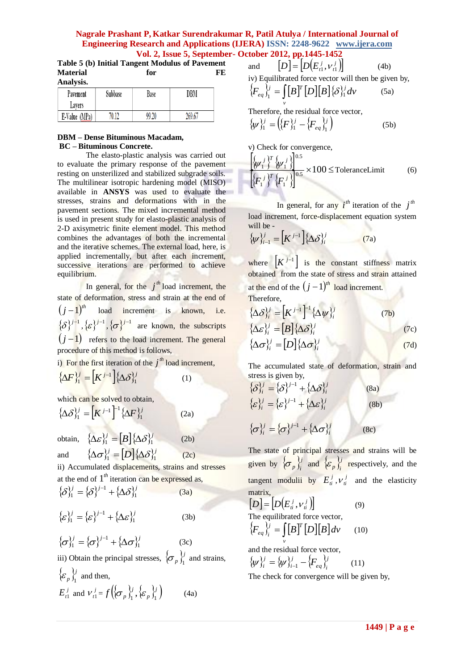**Table 5 (b) Initial Tangent Modulus of Pavement Material for FE Analysis.**

| Анагумы.      |         |       |        |  |  |  |
|---------------|---------|-------|--------|--|--|--|
| Pavement      | Subbase | Base  | DBM    |  |  |  |
| Lavers        |         |       |        |  |  |  |
| E-Value (MPa) | 70 I J  | 99.20 | 269.67 |  |  |  |

# **DBM – Dense Bituminous Macadam, BC – Bituminous Concrete.**

The elasto-plastic analysis was carried out to evaluate the primary response of the pavement resting on unsterilized and stabilized subgrade soils. The multilinear isotropic hardening model (MISO) available in **ANSYS** was used to evaluate the stresses, strains and deformations with in the pavement sections. The mixed incremental method is used in present study for elasto-plastic analysis of 2-D axisymetric finite element model. This method combines the advantages of both the incremental and the iterative schemes. The external load, here, is applied incrementally, but after each increment, successive iterations are performed to achieve equilibrium.

In general, for the  $j<sup>th</sup>$  load increment, the state of deformation, stress and strain at the end of  $(j-1)^{th}$  load increment is known, i.e.  $\{\delta\}^{j-1}, \{\varepsilon\}^{j-1}, \{\sigma\}^{j-1}$  are known, the subscripts  $(j-1)$  refers to the load increment. The general procedure of this method is follows,

i) For the first iteration of the  $j<sup>th</sup>$  load increment,

$$
\left\{\Delta F\right\}_1^j = \left[K^{j-1}\right] \left\{\Delta \delta\right\}_1^j \tag{1}
$$

which can be solved to obtain,  $\{\Delta \delta\}_{1}^{j} = [K^{j-1}]^{-1} \{\Delta F\}_{1}^{j}$  (2a)

obtain,  $\{\Delta \varepsilon\}_1^j = [B]\{\Delta \delta\}_1^j$  (2b)

and

 $\{\Delta \sigma\}_\text{i}^j = [D]\{\Delta \delta\}_\text{i}^j$  $(2c)$ ii) Accumulated displacements, strains and stresses at the end of  $1<sup>th</sup>$  iteration can be expressed as,

$$
\{\delta\}_1^j = \{\delta\}^{j-1} + \{\Delta\delta\}_1^j \tag{3a}
$$

$$
\{\varepsilon\}_1^j = \{\varepsilon\}^{j-1} + \{\Delta\varepsilon\}_1^j \tag{3b}
$$

$$
\{\sigma\}_1^j = \{\sigma\}^{j-1} + \{\Delta\sigma\}_1^j \qquad (3c)
$$
  
iii) Obtain the principal stresses,  $\{\sigma_p\}_1^j$  and strains,  
 $\{\varepsilon_p\}_1^j$  and then,

$$
E_{i1}^j
$$
 and  $V_{i1}^j = f\left(\left\{\sigma_p\right\}_1^j, \left\{\varepsilon_p\right\}_1^j\right)$  (4a)

and 
$$
[D] = [D(E_{i1}^j, V_{i1}^j)]
$$
 (4b)  
iv) Equilibrated force vector will then be given by,  

$$
\{F_{eq}\}_1^j = \int [B]^T [D][B] \{\delta\}_1^j dV
$$
 (5a)

Therefore, the residual force vector,  
\n
$$
\{\psi\}_{1}^{j} = (\{F\}_{1}^{j} - \{F_{eq}\}_{1}^{j})
$$
\n(5b)

v) Check for convergence,

$$
\left[\frac{\left\{\psi_{1}\right\}^{T}\left\{\psi_{1}\right\}}{\left\{F_{1}\right\}^{T}\left\{F_{1}\right\}}\right]^{0.5} \times 100 \leq \text{ToleranceLimit} \tag{6}
$$

In general, for any  $i^{th}$  iteration of the  $j^{th}$ load increment, force-displacement equation system will be -

$$
\{\psi\}_{i-1}^j = \left[K^{j-1}\right] \{\Delta \delta\}_{i}^j \tag{7a}
$$

where  $\left| K^{j-1} \right|$  is the constant stiffness matrix obtained from the state of stress and strain attained at the end of the  $(j-1)^{th}$  load increment. Therefore,

$$
\{\Delta \delta_i^j = [K^{j-1}]^{-1} \{\Delta \psi_i^j\} \quad (7b)
$$
  

$$
\{\Delta \epsilon_i^j = [B] \{\Delta \delta_i^j\} \quad (7c)
$$
  

$$
\{\Delta \sigma_i^j = [D] \{\Delta \sigma_i^j\} \quad (7d)
$$

The accumulated state of deformation, strain and stress is given by,

$$
\begin{aligned}\n\{\delta_{j_i}^{j} &= \{\delta\}^{j-1} + \{\Delta \delta_{j_i}^{j}\} & (8a) \\
\{\varepsilon_{j_i}^{j} &= \{\varepsilon\}^{j-1} + \{\Delta \varepsilon\}_{i}^{j} & (8b) \\
\{\sigma_{j_i}^{j} &= \{\sigma\}^{j-1} + \{\Delta \sigma\}_{i}^{j} & (8c)\n\end{aligned}
$$

The state of principal stresses and strains will be given by  $\{\sigma_n\}$  $\left\{\sigma_p\right\}_i^j$  and  $\left\{\varepsilon_p\right\}_i^j$  $\left\{ \mathcal{E}_p \right\}_i^{\prime}$  respectively, and the tangent modulii by  $E_i^j$ ,  $V_i^j$  and the elasticity matrix,

$$
[D] = [D(E_{ii}^j, v_{ii}^j)]
$$
\nThe equilibrated force vector,  
\n
$$
\{F_{eq}\}_{i}^{ij} = \int_{v} [B]^T [D][B] dv
$$
\n(10)

and the residual force vector,  $\{\psi\}_{i}^{j} = \{\psi\}_{i=1}^{j} - \{F_{eq}\}_{i=1}^{j}$ *i eq j*  $\{\psi\}_{i}^{j} = \{\psi\}_{i=1}^{j} - \{F_{eq}\}_{i}^{j}$  (11)

The check for convergence will be given by,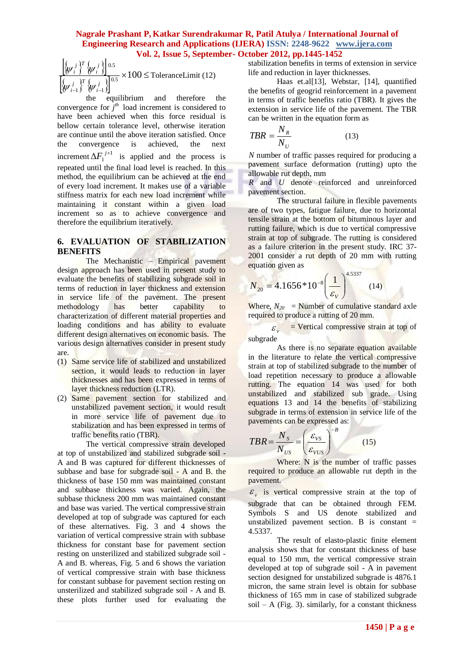$\{\psi_{i-1}^j\}^{\nu}$   $\{\psi_{i-1}^j\}$  $\times100 \leq$  $-1$  )  $(\Psi_{i-1})$  $\frac{1}{0.5} \times 100$ 1  $\mathsf{P}_{i-1}$ 0.5 *j i T j i j i T j i*  $\mathcal{W}_{i-1} \cap \mathcal{W}$  $\left[\frac{\psi_i^3}{\psi_i^3}\right]$   $\frac{1}{\psi_i^5}$  × 100 ≤ ToleranceLimit (12)

equilibrium and therefore the convergence for  $j<sup>th</sup>$  load increment is considered to have been achieved when this force residual is bellow certain tolerance level, otherwise iteration are continue until the above iteration satisfied. Once the convergence is achieved, the next increment  $\Delta F_1^{j+1}$  $\Delta F_1^{j+1}$  is applied and the process is repeated until the final load level is reached. In this method, the equilibrium can be achieved at the end of every load increment. It makes use of a variable stiffness matrix for each new load increment while maintaining it constant within a given load increment so as to achieve convergence and therefore the equilibrium iteratively.

# **6. EVALUATION OF STABILIZATION BENEFITS**

The Mechanistic – Empirical pavement design approach has been used in present study to evaluate the benefits of stabilizing subgrade soil in terms of reduction in layer thickness and extension in service life of the pavement. The present methodology has better capability to characterization of different material properties and loading conditions and has ability to evaluate different design alternatives on economic basis. The various design alternatives consider in present study are.

- (1) Same service life of stabilized and unstabilized section, it would leads to reduction in layer thicknesses and has been expressed in terms of layer thickness reduction (LTR).
- (2) Same pavement section for stabilized and unstabilized pavement section, it would result in more service life of pavement due to stabilization and has been expressed in terms of traffic benefits ratio (TBR).

 $\left[\frac{bc}{c}\right]^2$  **C**  $\left[\frac{bc}{c}\right]^2$  **110**  $\left[\frac{bc}{c}\right]^2$  **110**  $\left[\frac{bc}{c}\right]^2$  **C** a measurement to the lowest of the present of the present of the present of the present of the present of the continent of the present of the The vertical compressive strain developed at top of unstabilized and stabilized subgrade soil - A and B was captured for different thicknesses of subbase and base for subgrade soil - A and B. the thickness of base 150 mm was maintained constant and subbase thickness was varied. Again, the subbase thickness 200 mm was maintained constant and base was varied. The vertical compressive strain developed at top of subgrade was captured for each of these alternatives. Fig. 3 and 4 shows the variation of vertical compressive strain with subbase thickness for constant base for pavement section resting on unsterilized and stabilized subgrade soil - A and B. whereas, Fig. 5 and 6 shows the variation of vertical compressive strain with base thickness for constant subbase for pavement section resting on unsterilized and stabilized subgrade soil - A and B. these plots further used for evaluating the

stabilization benefits in terms of extension in service life and reduction in layer thicknesses.

Haas et.al[13], Webstar, [14], quantified the benefits of geogrid reinforcement in a pavement in terms of traffic benefits ratio (TBR). It gives the extension in service life of the pavement. The TBR can be written in the equation form as

$$
TBR = \frac{N_R}{N_U} \tag{13}
$$

*N* number of traffic passes required for producing a pavement surface deformation (rutting) upto the allowable rut depth, mm

*R* and *U* denote reinforced and unreinforced pavement section.

The structural failure in flexible pavements are of two types, fatigue failure, due to horizontal tensile strain at the bottom of bituminous layer and rutting failure, which is due to vertical compressive strain at top of subgrade. The rutting is considered as a failure criterion in the present study. IRC 37- 2001 consider a rut depth of 20 mm with rutting equation given as

$$
N_{20} = 4.1656*10^{-8} \left(\frac{1}{\varepsilon_{\rm v}}\right)^{4.5337} \tag{14}
$$

Where,  $N_{20}$  = Number of cumulative standard axle required to produce a rutting of 20 mm.

 $\mathcal{E}_{\cdot\cdot}$  $=$  Vertical compressive strain at top of subgrade

As there is no separate equation available in the literature to relate the vertical compressive strain at top of stabilized subgrade to the number of load repetition necessary to produce a allowable rutting. The equation 14 was used for both unstabilized and stabilized sub grade. Using equations 13 and 14 the benefits of stabilizing subgrade in terms of extension in service life of the pavements can be expressed as:

$$
TBR = \frac{N_s}{N_{US}} = \left(\frac{\varepsilon_{VS}}{\varepsilon_{VUS}}\right)^{-B} \tag{15}
$$

Where: N is the number of traffic passes required to produce an allowable rut depth in the pavement.

 $\mathcal{E}_{v}$  is vertical compressive strain at the top of subgrade that can be obtained through FEM. Symbols S and US denote stabilized and unstabilized pavement section. B is constant  $=$ 4.5337.

The result of elasto-plastic finite element analysis shows that for constant thickness of base equal to 150 mm, the vertical compressive strain developed at top of subgrade soil - A in pavement section designed for unstabilized subgrade is 4876.1 micron, the same strain level is obtain for subbase thickness of 165 mm in case of stabilized subgrade soil – A (Fig. 3). similarly, for a constant thickness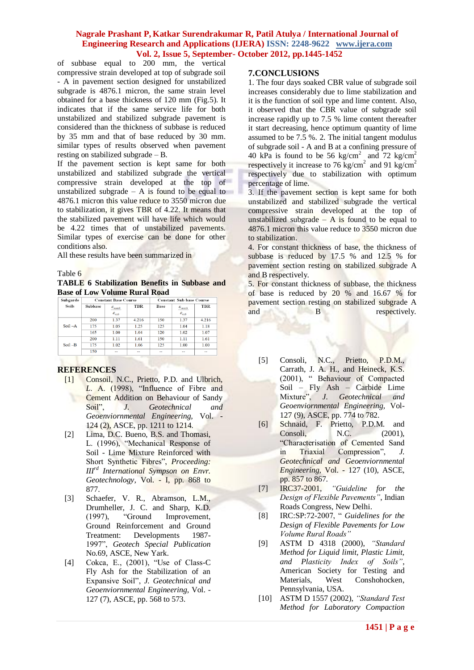of subbase equal to 200 mm, the vertical compressive strain developed at top of subgrade soil - A in pavement section designed for unstabilized subgrade is 4876.1 micron, the same strain level obtained for a base thickness of 120 mm (Fig.5). It indicates that if the same service life for both unstabilized and stabilized subgrade pavement is considered than the thickness of subbase is reduced by 35 mm and that of base reduced by 30 mm. similar types of results observed when pavement resting on stabilized subgrade – B.

If the pavement section is kept same for both unstabilized and stabilized subgrade the vertical compressive strain developed at the top of unstabilized subgrade  $-$  A is found to be equal to 4876.1 micron this value reduce to 3550 micron due to stabilization, it gives TBR of 4.22. It means that the stabilized pavement will have life which would be 4.22 times that of unstabilized pavements. Similar types of exercise can be done for other conditions also.

All these results have been summarized in

#### Table 6

**TABLE 6 Stabilization Benefits in Subbase and Base of Low Volume Rural Road**

| Subgarde     | <b>Constant Base Course</b> |                                 |       | <b>Constant Sub base Course</b> |                             |            |
|--------------|-----------------------------|---------------------------------|-------|---------------------------------|-----------------------------|------------|
| <b>Soils</b> | <b>Subbase</b>              | $\mathcal{E}_{\textit{vunstb}}$ | TBR   | <b>Base</b>                     | $\mathcal{S}_{\text{vurb}}$ | <b>TBR</b> |
|              |                             | $\mathcal{E}_{\text{with}}$     |       |                                 | $\mathcal{E}_{\text{with}}$ |            |
|              | 200                         | 1.37                            | 4.216 | 150                             | 1.37                        | 4.216      |
| $Soil-A$     | 175                         | 1.05                            | 1.25  | 125                             | 1.04                        | 1.18       |
|              | 165                         | 1.00                            | 1.04  | 120                             | 1.02                        | 1.07       |
|              | 200                         | 1.11                            | 1.61  | 150                             | 1.11                        | 1.61       |
| $Soil - B$   | 175                         | 1.02                            | 1.06  | 125                             | 1.00                        | 1.00       |
|              | 150                         | --                              | --    | --                              | --                          | --         |

# **REFERENCES**

- [1] Consoil, N.C., Prietto, P.D. and Ulbrich, *L*. A. (1998), "Influence of Fibre and Cement Addition on Behaviour of Sandy Soil", *J. Geotechnical and Geoenviornmental Engineering,* Vol. - 124 (2), ASCE, pp. 1211 to 1214.
- [2] Lima, D.C. Bueno, B.S. and Thomasi, L. (1996), "Mechanical Response of Soil - Lime Mixture Reinforced with Short Synthetic Fibres", *Proceeding: IIIrd International Sympson on Envr. Geotechnology,* Vol. - I, pp. 868 to 877.
- [3] Schaefer, V. R., Abramson, L.M., Drumheller, J. C. and Sharp, K.D. (1997), "Ground Improvement, Ground Reinforcement and Ground Treatment: Developments 1987- 1997", *Geotech Special Publication* No.69, ASCE, New Yark.
- [4] Cokca, E., (2001), "Use of Class-C Fly Ash for the Stabilization of an Expansive Soil", *J. Geotechnical and Geoenviornmental Engineering*, Vol. - 127 (7), ASCE, pp. 568 to 573.

### **7.CONCLUSIONS**

1. The four days soaked CBR value of subgrade soil increases considerably due to lime stabilization and it is the function of soil type and lime content. Also, it observed that the CBR value of subgrade soil increase rapidly up to 7.5 % lime content thereafter it start decreasing, hence optimum quantity of lime assumed to be 7.5 %. 2. The initial tangent modulus of subgrade soil - A and B at a confining pressure of 40 kPa is found to be 56 kg/cm<sup>2</sup> and 72 kg/cm<sup>2</sup> respectively it increase to 76 kg/cm<sup>2</sup> and 91 kg/cm<sup>2</sup> respectively due to stabilization with optimum percentage of lime.

3. If the pavement section is kept same for both unstabilized and stabilized subgrade the vertical compressive strain developed at the top of unstabilized subgrade  $-$  A is found to be equal to 4876.1 micron this value reduce to 3550 micron due to stabilization.

4. For constant thickness of base, the thickness of subbase is reduced by 17.5 % and 12.5 % for pavement section resting on stabilized subgrade A and B respectively.

5. For constant thickness of subbase, the thickness of base is reduced by 20 % and 16.67 % for pavement section resting on stabilized subgrade A and B R respectively.

- [5] Consoli, N.C., Prietto, P.D.M., Carrath, J. A. H., and Heineck, K.S. (2001), " Behaviour of Compacted Soil – Fly Ash – Carbide Lime Mixture", *J. Geotechnical and Geoenviornmental Engineering,* Vol-127 (9), ASCE, pp. 774 to 782.
- [6] Schnaid, F. Prietto, P.D.M. and Consoli, N.C. (2001), "Characterisation of Cemented Sand in Triaxial Compression", *J. Geotechnical and Geoenviornmental Engineering,* Vol. - 127 (10), ASCE, pp. 857 to 867.
- [7] IRC37-2001, *"Guideline for the Design of Flexible Pavements"*, Indian Roads Congress, New Delhi.
- [8] IRC:SP:72-2007, " *Guidelines for the Design of Flexible Pavements for Low Volume Rural Roads"*
- [9] ASTM D 4318 (2000), *"Standard Method for Liquid limit, Plastic Limit, and Plasticity Index of Soils"*, American Society for Testing and Materials, West Conshohocken, Pennsylvania, USA.
- [10] ASTM D 1557 (2002), *"Standard Test Method for Laboratory Compaction*